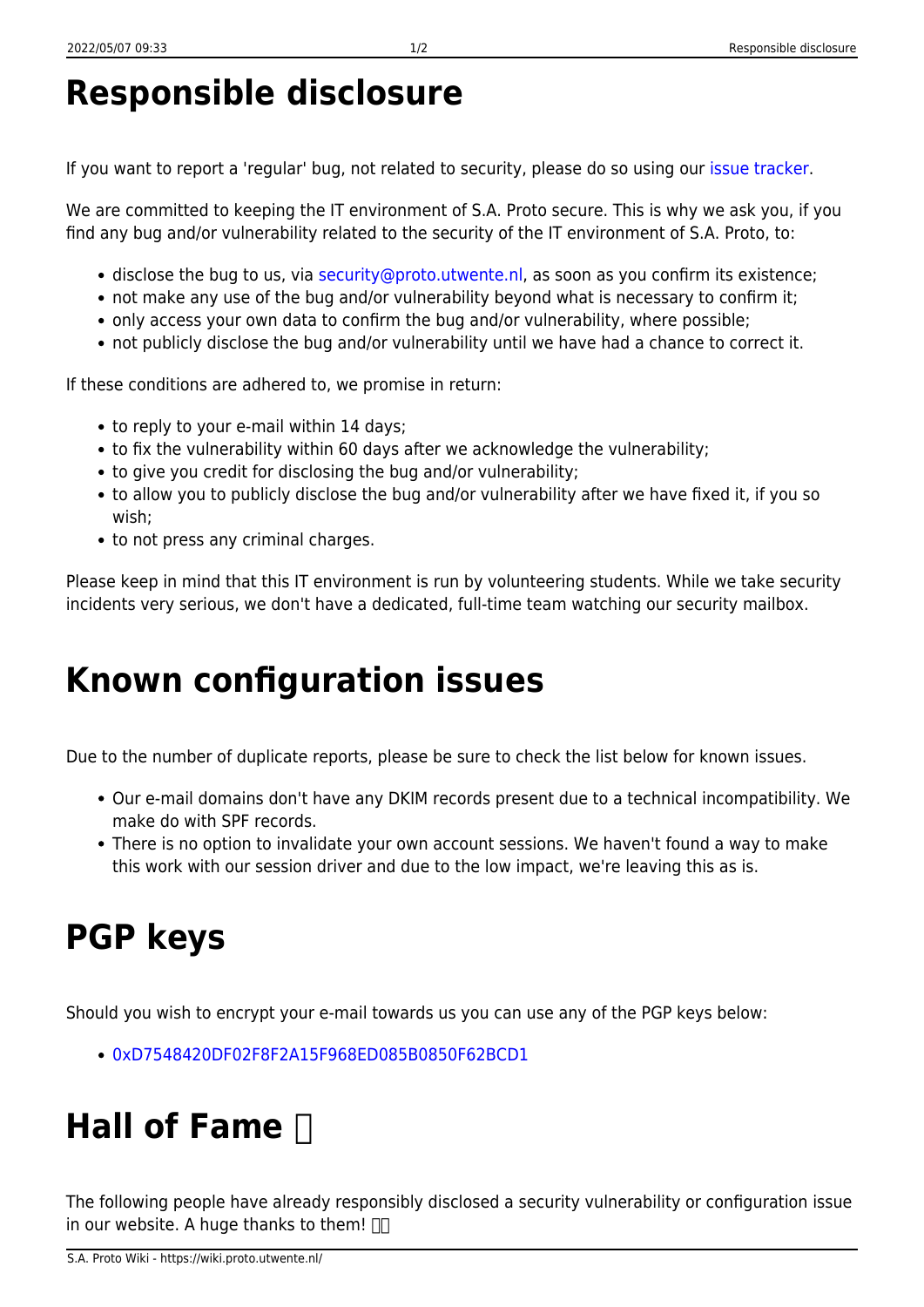### **Responsible disclosure**

If you want to report a 'regular' bug, not related to security, please do so using our [issue tracker](https://github.com/saproto/saproto/issues/new).

We are committed to keeping the IT environment of S.A. Proto secure. This is why we ask you, if you find any bug and/or vulnerability related to the security of the IT environment of S.A. Proto, to:

- disclose the bug to us, via [security@proto.utwente.nl,](mailto:security@proto.utwente.nl) as soon as you confirm its existence;
- not make any use of the bug and/or vulnerability beyond what is necessary to confirm it;
- only access your own data to confirm the bug and/or vulnerability, where possible;
- not publicly disclose the bug and/or vulnerability until we have had a chance to correct it.

If these conditions are adhered to, we promise in return:

- to reply to your e-mail within 14 days;
- to fix the vulnerability within 60 days after we acknowledge the vulnerability;
- to give you credit for disclosing the bug and/or vulnerability;
- to allow you to publicly disclose the bug and/or vulnerability after we have fixed it, if you so wish;
- to not press any criminal charges.

Please keep in mind that this IT environment is run by volunteering students. While we take security incidents very serious, we don't have a dedicated, full-time team watching our security mailbox.

# **Known configuration issues**

Due to the number of duplicate reports, please be sure to check the list below for known issues.

- Our e-mail domains don't have any DKIM records present due to a technical incompatibility. We make do with SPF records.
- There is no option to invalidate your own account sessions. We haven't found a way to make this work with our session driver and due to the low impact, we're leaving this as is.

# **PGP keys**

Should you wish to encrypt your e-mail towards us you can use any of the PGP keys below:

[0xD7548420DF02F8F2A15F968ED085B0850F62BCD1](https://sks-keyservers.net/pks/lookup?op=vindex&search=0xD7548420DF02F8F2A15F968ED085B0850F62BCD1)

# **Hall of Fame**

The following people have already responsibly disclosed a security vulnerability or configuration issue in our website. A huge thanks to them!  $\square$